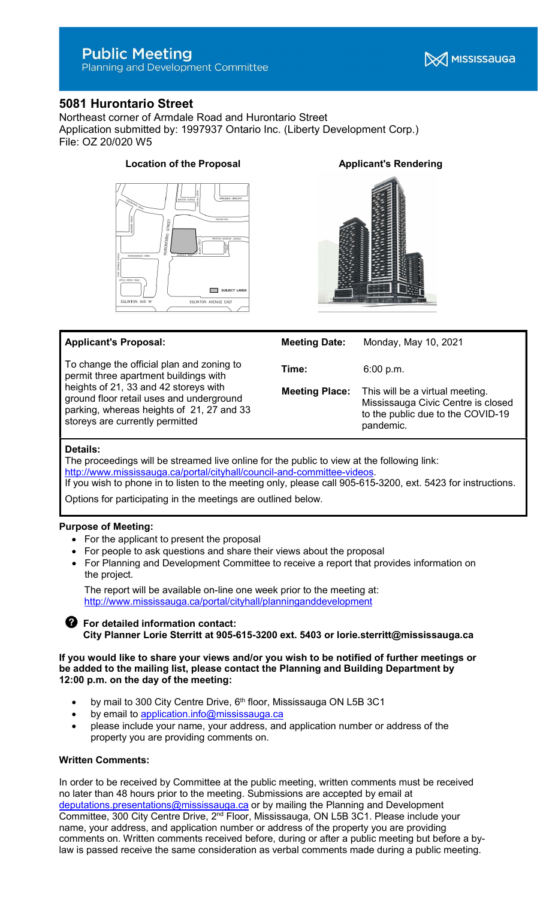# **Public Meeting**

Planning and Development Committee



# 5081 Hurontario Street

Northeast corner of Armdale Road and Hurontario Street Application submitted by: 1997937 Ontario Inc. (Liberty Development Corp.) File: OZ 20/020 W5



# Location of the Proposal **Applicant's Rendering**





# Applicant's Proposal:

To change the official plan and zoning to permit three apartment buildings with heights of 21, 33 and 42 storeys with ground floor retail uses and underground parking, whereas heights of 21, 27 and 33 storeys are currently permitted

| <b>Meeting Date:</b>  | Monday, May 10, 2021                                                                                                    |
|-----------------------|-------------------------------------------------------------------------------------------------------------------------|
| Time:                 | 6:00 p.m.                                                                                                               |
| <b>Meeting Place:</b> | This will be a virtual meeting.<br>Mississauga Civic Centre is closed<br>to the public due to the COVID-19<br>pandemic. |

### Details:

The proceedings will be streamed live online for the public to view at the following link: http://www.mississauga.ca/portal/cityhall/council-and-committee-videos.

If you wish to phone in to listen to the meeting only, please call 905-615-3200, ext. 5423 for instructions.

Options for participating in the meetings are outlined below.

# Purpose of Meeting:

- For the applicant to present the proposal
- For people to ask questions and share their views about the proposal
- For Planning and Development Committee to receive a report that provides information on the project.

 The report will be available on-line one week prior to the meeting at: http://www.mississauga.ca/portal/cityhall/planninganddevelopment

# **S** For detailed information contact: City Planner Lorie Sterritt at 905-615-3200 ext. 5403 or lorie.sterritt@mississauga.ca

#### If you would like to share your views and/or you wish to be notified of further meetings or be added to the mailing list, please contact the Planning and Building Department by 12:00 p.m. on the day of the meeting:

- by mail to 300 City Centre Drive,  $6<sup>th</sup>$  floor, Mississauga ON L5B 3C1
- by email to application.info@mississauga.ca
- please include your name, your address, and application number or address of the property you are providing comments on.

#### Written Comments:

In order to be received by Committee at the public meeting, written comments must be received no later than 48 hours prior to the meeting. Submissions are accepted by email at deputations.presentations@mississauga.ca or by mailing the Planning and Development Committee, 300 City Centre Drive, 2nd Floor, Mississauga, ON L5B 3C1. Please include your name, your address, and application number or address of the property you are providing comments on. Written comments received before, during or after a public meeting but before a bylaw is passed receive the same consideration as verbal comments made during a public meeting.